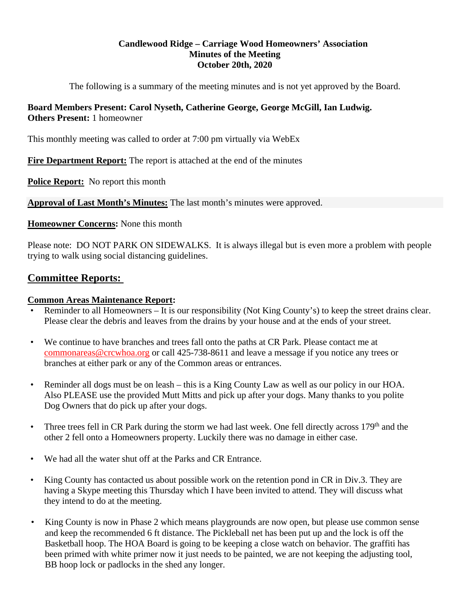#### **Candlewood Ridge – Carriage Wood Homeowners' Association Minutes of the Meeting October 20th, 2020**

The following is a summary of the meeting minutes and is not yet approved by the Board.

# **Board Members Present: Carol Nyseth, Catherine George, George McGill, Ian Ludwig. Others Present:** 1 homeowner

This monthly meeting was called to order at 7:00 pm virtually via WebEx

**Fire Department Report:** The report is attached at the end of the minutes

**Police Report:** No report this month

**Approval of Last Month's Minutes:** The last month's minutes were approved.

**Homeowner Concerns:** None this month

Please note: DO NOT PARK ON SIDEWALKS. It is always illegal but is even more a problem with people trying to walk using social distancing guidelines.

# **Committee Reports:**

#### **Common Areas Maintenance Report:**

- Reminder to all Homeowners It is our responsibility (Not King County's) to keep the street drains clear. Please clear the debris and leaves from the drains by your house and at the ends of your street.
- We continue to have branches and trees fall onto the paths at CR Park. Please contact me at commonareas@crcwhoa.org or call 425-738-8611 and leave a message if you notice any trees or branches at either park or any of the Common areas or entrances.
- Reminder all dogs must be on leash this is a King County Law as well as our policy in our HOA. Also PLEASE use the provided Mutt Mitts and pick up after your dogs. Many thanks to you polite Dog Owners that do pick up after your dogs.
- Three trees fell in CR Park during the storm we had last week. One fell directly across 179<sup>th</sup> and the other 2 fell onto a Homeowners property. Luckily there was no damage in either case.
- We had all the water shut off at the Parks and CR Entrance.
- King County has contacted us about possible work on the retention pond in CR in Div.3. They are having a Skype meeting this Thursday which I have been invited to attend. They will discuss what they intend to do at the meeting.
- King County is now in Phase 2 which means playgrounds are now open, but please use common sense and keep the recommended 6 ft distance. The Pickleball net has been put up and the lock is off the Basketball hoop. The HOA Board is going to be keeping a close watch on behavior. The graffiti has been primed with white primer now it just needs to be painted, we are not keeping the adjusting tool, BB hoop lock or padlocks in the shed any longer.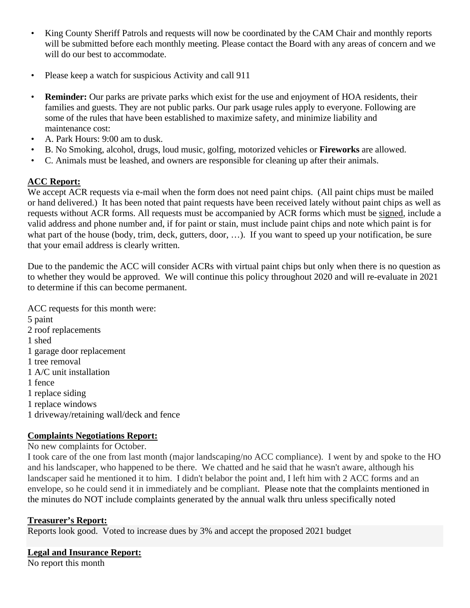- King County Sheriff Patrols and requests will now be coordinated by the CAM Chair and monthly reports will be submitted before each monthly meeting. Please contact the Board with any areas of concern and we will do our best to accommodate.
- Please keep a watch for suspicious Activity and call 911
- **Reminder:** Our parks are private parks which exist for the use and enjoyment of HOA residents, their families and guests. They are not public parks. Our park usage rules apply to everyone. Following are some of the rules that have been established to maximize safety, and minimize liability and maintenance cost:
- A. Park Hours: 9:00 am to dusk.
- B. No Smoking, alcohol, drugs, loud music, golfing, motorized vehicles or **Fireworks** are allowed.
- C. Animals must be leashed, and owners are responsible for cleaning up after their animals.

# **ACC Report:**

We accept ACR requests via e-mail when the form does not need paint chips. (All paint chips must be mailed or hand delivered.) It has been noted that paint requests have been received lately without paint chips as well as requests without ACR forms. All requests must be accompanied by ACR forms which must be signed, include a valid address and phone number and, if for paint or stain, must include paint chips and note which paint is for what part of the house (body, trim, deck, gutters, door, ...). If you want to speed up your notification, be sure that your email address is clearly written.

Due to the pandemic the ACC will consider ACRs with virtual paint chips but only when there is no question as to whether they would be approved. We will continue this policy throughout 2020 and will re-evaluate in 2021 to determine if this can become permanent.

ACC requests for this month were: 5 paint 2 roof replacements 1 shed 1 garage door replacement 1 tree removal 1 A/C unit installation 1 fence 1 replace siding 1 replace windows 1 driveway/retaining wall/deck and fence

# **Complaints Negotiations Report:**

No new complaints for October.

I took care of the one from last month (major landscaping/no ACC compliance). I went by and spoke to the HO and his landscaper, who happened to be there. We chatted and he said that he wasn't aware, although his landscaper said he mentioned it to him. I didn't belabor the point and, I left him with 2 ACC forms and an envelope, so he could send it in immediately and be compliant. Please note that the complaints mentioned in the minutes do NOT include complaints generated by the annual walk thru unless specifically noted

# **Treasurer's Report:**

Reports look good. Voted to increase dues by 3% and accept the proposed 2021 budget

**Legal and Insurance Report:** 

No report this month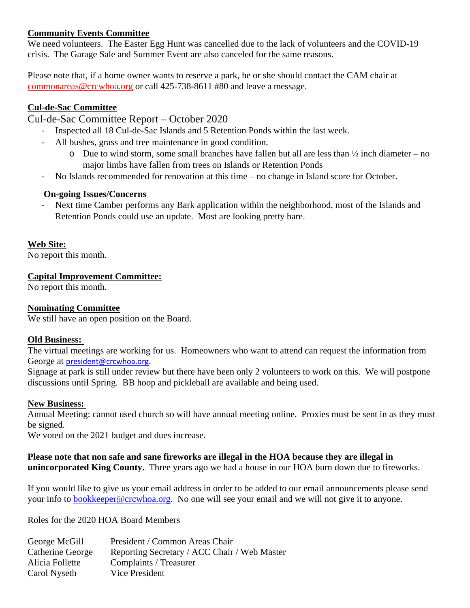# **Community Events Committee**

We need volunteers. The Easter Egg Hunt was cancelled due to the lack of volunteers and the COVID-19 crisis. The Garage Sale and Summer Event are also canceled for the same reasons.

Please note that, if a home owner wants to reserve a park, he or she should contact the CAM chair at commonareas@crcwhoa.org or call 425-738-8611 #80 and leave a message.

# **Cul-de-Sac Committee**

# Cul-de-Sac Committee Report – October 2020

- Inspected all 18 Cul-de-Sac Islands and 5 Retention Ponds within the last week.
- ‐ All bushes, grass and tree maintenance in good condition.
	- $\circ$  Due to wind storm, some small branches have fallen but all are less than  $\frac{1}{2}$  inch diameter no major limbs have fallen from trees on Islands or Retention Ponds
- No Islands recommended for renovation at this time no change in Island score for October.

# **On-going Issues/Concerns**

Next time Camber performs any Bark application within the neighborhood, most of the Islands and Retention Ponds could use an update. Most are looking pretty bare.

# **Web Site:**

No report this month.

# **Capital Improvement Committee:**

No report this month.

# **Nominating Committee**

We still have an open position on the Board.

# **Old Business:**

The virtual meetings are working for us. Homeowners who want to attend can request the information from George at president@crcwhoa.org.

Signage at park is still under review but there have been only 2 volunteers to work on this. We will postpone discussions until Spring. BB hoop and pickleball are available and being used.

# **New Business:**

Annual Meeting: cannot used church so will have annual meeting online. Proxies must be sent in as they must be signed.

We voted on the 2021 budget and dues increase.

**Please note that non safe and sane fireworks are illegal in the HOA because they are illegal in unincorporated King County.** Three years ago we had a house in our HOA burn down due to fireworks.

If you would like to give us your email address in order to be added to our email announcements please send your info to bookkeeper@crcwhoa.org. No one will see your email and we will not give it to anyone.

Roles for the 2020 HOA Board Members

| George McGill    | President / Common Areas Chair               |
|------------------|----------------------------------------------|
| Catherine George | Reporting Secretary / ACC Chair / Web Master |
| Alicia Follette  | Complaints / Treasurer                       |
| Carol Nyseth     | Vice President                               |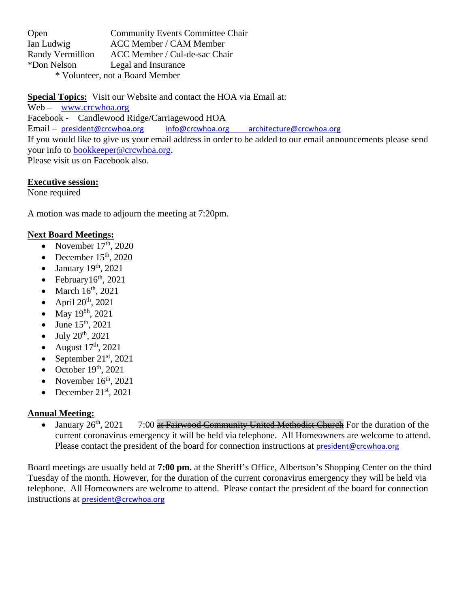Open Community Events Committee Chair Ian Ludwig ACC Member / CAM Member Randy Vermillion ACC Member / Cul-de-sac Chair \*Don Nelson Legal and Insurance \* Volunteer, not a Board Member

**Special Topics:** Visit our Website and contact the HOA via Email at:

Web – www.crcwhoa.org Facebook - Candlewood Ridge/Carriagewood HOA Email – president@crcwhoa.org info@crcwhoa.org architecture@crcwhoa.org If you would like to give us your email address in order to be added to our email announcements please send your info to bookkeeper@crcwhoa.org. Please visit us on Facebook also.

#### **Executive session:**

None required

A motion was made to adjourn the meeting at 7:20pm.

# **Next Board Meetings:**

- November  $17<sup>th</sup>$ , 2020
- December  $15<sup>th</sup>$ , 2020
- January 19th, 2021
- February $16<sup>th</sup>$ , 2021
- March  $16<sup>th</sup>$ , 2021
- $\bullet$  April 20<sup>th</sup>, 2021
- May  $19^{8h}$ , 2021
- June  $15^{th}$ , 2021
- $\bullet$  July 20<sup>th</sup>, 2021
- August  $17<sup>th</sup>$ , 2021
- September  $21<sup>st</sup>$ , 2021
- October  $19<sup>th</sup>$ , 2021
- November  $16<sup>th</sup>$ , 2021
- December  $21^{st}$ , 2021

# **Annual Meeting:**

• January  $26<sup>th</sup>$ ,  $2021$  7:00 at Fairwood Community United Methodist Church For the duration of the current coronavirus emergency it will be held via telephone. All Homeowners are welcome to attend. Please contact the president of the board for connection instructions at president@crcwhoa.org

Board meetings are usually held at **7:00 pm.** at the Sheriff's Office, Albertson's Shopping Center on the third Tuesday of the month. However, for the duration of the current coronavirus emergency they will be held via telephone. All Homeowners are welcome to attend. Please contact the president of the board for connection instructions at president@crcwhoa.org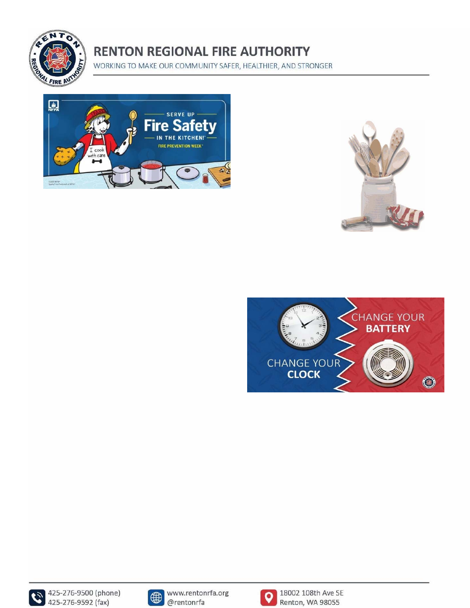

**RENTON REGIONAL FIRE AUTHORITY** WORKING TO MAKE OUR COMMUNITY SAFER, HEALTHIER, AND STRONGER